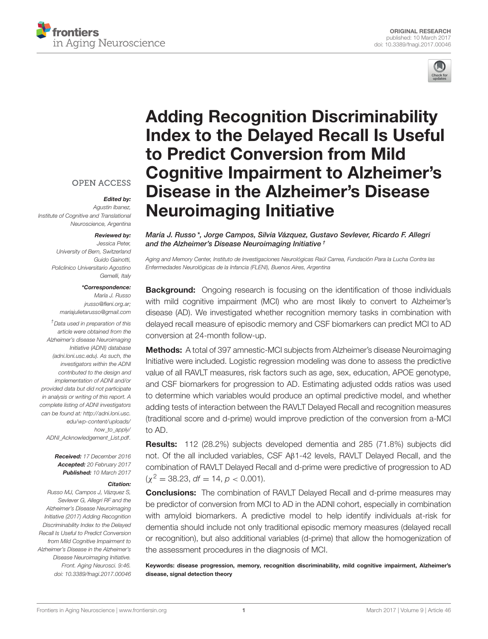



# Adding Recognition Discriminability [Index to the Delayed Recall Is Useful](http://journal.frontiersin.org/article/10.3389/fnagi.2017.00046/abstract) to Predict Conversion from Mild Cognitive Impairment to Alzheimer's Disease in the Alzheimer's Disease Neuroimaging Initiative

**OPEN ACCESS** 

Edited by:

Agustin Ibanez, Institute of Cognitive and Translational Neuroscience, Argentina

#### Reviewed by:

Jessica Peter, University of Bern, Switzerland Guido Gainotti, Policlinico Universitario Agostino Gemelli, Italy

#### \*Correspondence:

María J. Russo [jrusso@fleni.org.ar;](mailto:jrusso@fleni.org.ar) [mariajulietarusso@gmail.com](mailto:mariajulietarusso@gmail.com)

†Data used in preparation of this article were obtained from the Alzheimer's disease Neuroimaging Initiative (ADNI) database (adni.loni.usc.edu). As such, the investigators within the ADNI contributed to the design and implementation of ADNI and/or provided data but did not participate in analysis or writing of this report. A complete listing of ADNI investigators can be found at: [http://adni.loni.usc.](http://adni.loni.usc.edu/wp-content/uploads/how_to_apply/ADNI_Acknowledgement_List.pdf) [edu/wp-content/uploads/](http://adni.loni.usc.edu/wp-content/uploads/how_to_apply/ADNI_Acknowledgement_List.pdf) [how\\_to\\_apply/](http://adni.loni.usc.edu/wp-content/uploads/how_to_apply/ADNI_Acknowledgement_List.pdf) [ADNI\\_Acknowledgement\\_List.pdf.](http://adni.loni.usc.edu/wp-content/uploads/how_to_apply/ADNI_Acknowledgement_List.pdf)

> Received: 17 December 2016 Accepted: 20 February 2017 Published: 10 March 2017

#### Citation:

Russo MJ, Campos J, Vázquez S, Sevlever G, Allegri RF and the Alzheimer's Disease Neuroimaging Initiative (2017) Adding Recognition Discriminability Index to the Delayed Recall Is Useful to Predict Conversion from Mild Cognitive Impairment to Alzheimer's Disease in the Alzheimer's Disease Neuroimaging Initiative. Front. Aging Neurosci. 9:46. doi: [10.3389/fnagi.2017.00046](https://doi.org/10.3389/fnagi.2017.00046) [María J. Russo](http://loop.frontiersin.org/people/396925/overview)\*, [Jorge Campos,](http://loop.frontiersin.org/people/420061/overview) [Silvia Vázquez,](http://loop.frontiersin.org/people/404974/overview) Gustavo Sevlever, [Ricardo F.](http://loop.frontiersin.org/people/409007/overview) Allegri and the Alzheimer's Disease Neuroimaging Initiative †

Aging and Memory Center, Instituto de Investigaciones Neurológicas Raúl Carrea, Fundación Para la Lucha Contra las Enfermedades Neurológicas de la Infancia (FLENI), Buenos Aires, Argentina

**Background:** Ongoing research is focusing on the identification of those individuals with mild cognitive impairment (MCI) who are most likely to convert to Alzheimer's disease (AD). We investigated whether recognition memory tasks in combination with delayed recall measure of episodic memory and CSF biomarkers can predict MCI to AD conversion at 24-month follow-up.

Methods: A total of 397 amnestic-MCI subjects from Alzheimer's disease Neuroimaging Initiative were included. Logistic regression modeling was done to assess the predictive value of all RAVLT measures, risk factors such as age, sex, education, APOE genotype, and CSF biomarkers for progression to AD. Estimating adjusted odds ratios was used to determine which variables would produce an optimal predictive model, and whether adding tests of interaction between the RAVLT Delayed Recall and recognition measures (traditional score and d-prime) would improve prediction of the conversion from a-MCI to AD.

Results: 112 (28.2%) subjects developed dementia and 285 (71.8%) subjects did not. Of the all included variables, CSF Aβ1-42 levels, RAVLT Delayed Recall, and the combination of RAVLT Delayed Recall and d-prime were predictive of progression to AD  $(\chi^2 = 38.23, df = 14, p < 0.001).$ 

**Conclusions:** The combination of RAVLT Delayed Recall and d-prime measures may be predictor of conversion from MCI to AD in the ADNI cohort, especially in combination with amyloid biomarkers. A predictive model to help identify individuals at-risk for dementia should include not only traditional episodic memory measures (delayed recall or recognition), but also additional variables (d-prime) that allow the homogenization of the assessment procedures in the diagnosis of MCI.

Keywords: disease progression, memory, recognition discriminability, mild cognitive impairment, Alzheimer's disease, signal detection theory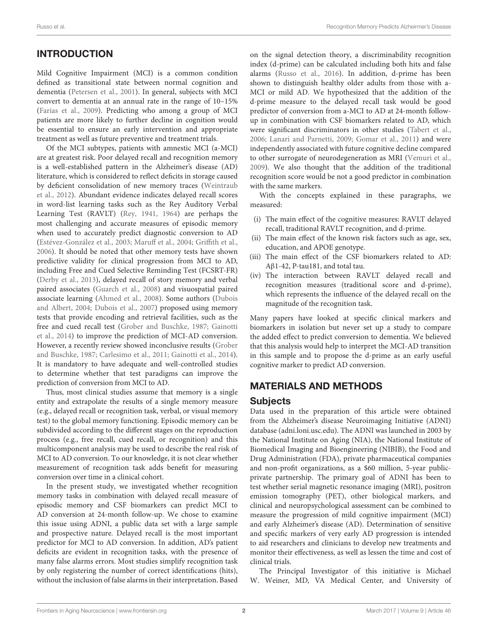# INTRODUCTION

Mild Cognitive Impairment (MCI) is a common condition defined as transitional state between normal cognition and dementia [\(Petersen et al., 2001\)](#page-6-0). In general, subjects with MCI convert to dementia at an annual rate in the range of 10–15% [\(Farias et al., 2009\)](#page-6-1). Predicting who among a group of MCI patients are more likely to further decline in cognition would be essential to ensure an early intervention and appropriate treatment as well as future preventive and treatment trials.

Of the MCI subtypes, patients with amnestic MCI (a-MCI) are at greatest risk. Poor delayed recall and recognition memory is a well-established pattern in the Alzheimer's disease (AD) literature, which is considered to reflect deficits in storage caused by deficient consolidation of new memory traces (Weintraub et al., [2012\)](#page-6-2). Abundant evidence indicates delayed recall scores in word-list learning tasks such as the Rey Auditory Verbal Learning Test (RAVLT) [\(Rey, 1941,](#page-6-3) [1964\)](#page-6-4) are perhaps the most challenging and accurate measures of episodic memory when used to accurately predict diagnostic conversion to AD [\(Estévez-González et al., 2003;](#page-6-5) [Maruff et al., 2004;](#page-6-6) [Griffith et](#page-6-7) al., [2006\)](#page-6-7). It should be noted that other memory tests have shown predictive validity for clinical progression from MCI to AD, including Free and Cued Selective Reminding Test (FCSRT-FR) [\(Derby et al., 2013\)](#page-6-8), delayed recall of story memory and verbal paired associates [\(Guarch et al., 2008\)](#page-6-9) and visuospatial paired associate learning [\(Ahmed et al., 2008\)](#page-5-0). Some authors (Dubois and Albert, [2004;](#page-6-10) [Dubois et al., 2007\)](#page-6-11) proposed using memory tests that provide encoding and retrieval facilities, such as the free and cued recall test [\(Grober and Buschke, 1987;](#page-6-12) Gainotti et al., [2014\)](#page-6-13) to improve the prediction of MCI-AD conversion. However, a recently review showed inconclusive results (Grober and Buschke, [1987;](#page-6-12) [Carlesimo et al., 2011;](#page-5-1) [Gainotti et al., 2014\)](#page-6-13). It is mandatory to have adequate and well-controlled studies to determine whether that test paradigms can improve the prediction of conversion from MCI to AD.

Thus, most clinical studies assume that memory is a single entity and extrapolate the results of a single memory measure (e.g., delayed recall or recognition task, verbal, or visual memory test) to the global memory functioning. Episodic memory can be subdivided according to the different stages on the reproduction process (e.g., free recall, cued recall, or recognition) and this multicomponent analysis may be used to describe the real risk of MCI to AD conversion. To our knowledge, it is not clear whether measurement of recognition task adds benefit for measuring conversion over time in a clinical cohort.

In the present study, we investigated whether recognition memory tasks in combination with delayed recall measure of episodic memory and CSF biomarkers can predict MCI to AD conversion at 24-month follow-up. We chose to examine this issue using ADNI, a public data set with a large sample and prospective nature. Delayed recall is the most important predictor for MCI to AD conversion. In addition, AD's patient deficits are evident in recognition tasks, with the presence of many false alarms errors. Most studies simplify recognition task by only registering the number of correct identifications (hits), without the inclusion of false alarms in their interpretation. Based

on the signal detection theory, a discriminability recognition index (d-prime) can be calculated including both hits and false alarms [\(Russo et al., 2016\)](#page-6-14). In addition, d-prime has been shown to distinguish healthy older adults from those with a-MCI or mild AD. We hypothesized that the addition of the d-prime measure to the delayed recall task would be good predictor of conversion from a-MCI to AD at 24-month followup in combination with CSF biomarkers related to AD, which were significant discriminators in other studies [\(Tabert et al.,](#page-6-15) [2006;](#page-6-15) [Lanari and Parnetti, 2009;](#page-6-16) [Gomar et al., 2011\)](#page-6-17) and were independently associated with future cognitive decline compared to other surrogate of neurodegeneration as MRI [\(Vemuri et al.,](#page-6-18) [2009\)](#page-6-18). We also thought that the addition of the traditional recognition score would be not a good predictor in combination with the same markers.

With the concepts explained in these paragraphs, we measured:

- (i) The main effect of the cognitive measures: RAVLT delayed recall, traditional RAVLT recognition, and d-prime.
- (ii) The main effect of the known risk factors such as age, sex, education, and APOE genotype.
- (iii) The main effect of the CSF biomarkers related to AD: Aβ1-42, P-tau181, and total tau.
- (iv) The interaction between RAVLT delayed recall and recognition measures (traditional score and d-prime), which represents the influence of the delayed recall on the magnitude of the recognition task.

Many papers have looked at specific clinical markers and biomarkers in isolation but never set up a study to compare the added effect to predict conversion to dementia. We believed that this analysis would help to interpret the MCI-AD transition in this sample and to propose the d-prime as an early useful cognitive marker to predict AD conversion.

## MATERIALS AND METHODS

#### Subjects

Data used in the preparation of this article were obtained from the Alzheimer's disease Neuroimaging Initiative (ADNI) database (adni.loni.usc.edu). The ADNI was launched in 2003 by the National Institute on Aging (NIA), the National Institute of Biomedical Imaging and Bioengineering (NIBIB), the Food and Drug Administration (FDA), private pharmaceutical companies and non-profit organizations, as a \$60 million, 5-year publicprivate partnership. The primary goal of ADNI has been to test whether serial magnetic resonance imaging (MRI), positron emission tomography (PET), other biological markers, and clinical and neuropsychological assessment can be combined to measure the progression of mild cognitive impairment (MCI) and early Alzheimer's disease (AD). Determination of sensitive and specific markers of very early AD progression is intended to aid researchers and clinicians to develop new treatments and monitor their effectiveness, as well as lessen the time and cost of clinical trials.

The Principal Investigator of this initiative is Michael W. Weiner, MD, VA Medical Center, and University of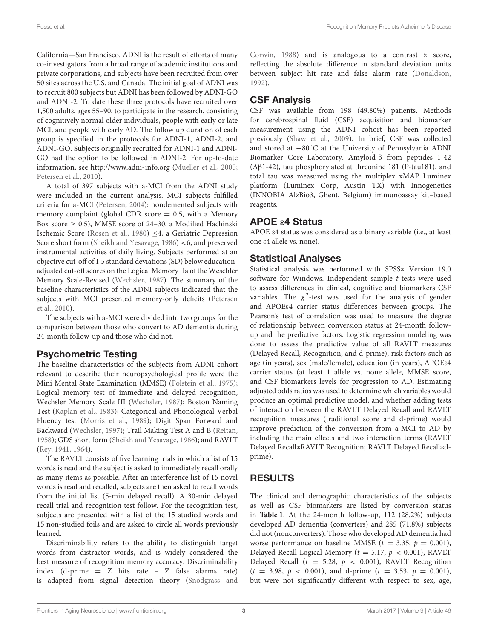California—San Francisco. ADNI is the result of efforts of many co-investigators from a broad range of academic institutions and private corporations, and subjects have been recruited from over 50 sites across the U.S. and Canada. The initial goal of ADNI was to recruit 800 subjects but ADNI has been followed by ADNI-GO and ADNI-2. To date these three protocols have recruited over 1,500 adults, ages 55–90, to participate in the research, consisting of cognitively normal older individuals, people with early or late MCI, and people with early AD. The follow up duration of each group is specified in the protocols for ADNI-1, ADNI-2, and ADNI-GO. Subjects originally recruited for ADNI-1 and ADNI-GO had the option to be followed in ADNI-2. For up-to-date information, see<http://www.adni-info.org> [\(Mueller et al., 2005;](#page-6-19) [Petersen et al., 2010\)](#page-6-20).

A total of 397 subjects with a-MCI from the ADNI study were included in the current analysis. MCI subjects fulfilled criteria for a-MCI [\(Petersen, 2004\)](#page-6-21): nondemented subjects with memory complaint (global CDR score  $= 0.5$ , with a Memory Box score  $\geq$  0.5), MMSE score of 24–30, a Modified Hachinski Ischemic Score [\(Rosen et al., 1980\)](#page-6-22) ≤4, a Geriatric Depression Score short form [\(Sheikh and Yesavage, 1986\)](#page-6-23) <6, and preserved instrumental activities of daily living. Subjects performed at an objective cut-off of 1.5 standard deviations (SD) below educationadjusted cut-off scores on the Logical Memory IIa of the Weschler Memory Scale-Revised [\(Wechsler, 1987\)](#page-6-24). The summary of the baseline characteristics of the ADNI subjects indicated that the subjects with MCI presented memory-only deficits (Petersen et al., [2010\)](#page-6-20).

The subjects with a-MCI were divided into two groups for the comparison between those who convert to AD dementia during 24-month follow-up and those who did not.

#### Psychometric Testing

The baseline characteristics of the subjects from ADNI cohort relevant to describe their neuropsychological profile were the Mini Mental State Examination (MMSE) [\(Folstein et al., 1975\)](#page-6-25); Logical memory test of immediate and delayed recognition, Wechsler Memory Scale III [\(Wechsler, 1987\)](#page-6-24); Boston Naming Test [\(Kaplan et al., 1983\)](#page-6-26); Categorical and Phonological Verbal Fluency test [\(Morris et al., 1989\)](#page-6-27); Digit Span Forward and Backward [\(Wechsler, 1997\)](#page-6-28); Trail Making Test A and B [\(Reitan,](#page-6-29) [1958\)](#page-6-29); GDS short form [\(Sheikh and Yesavage, 1986\)](#page-6-23); and RAVLT [\(Rey, 1941,](#page-6-3) [1964\)](#page-6-4).

The RAVLT consists of five learning trials in which a list of 15 words is read and the subject is asked to immediately recall orally as many items as possible. After an interference list of 15 novel words is read and recalled, subjects are then asked to recall words from the initial list (5-min delayed recall). A 30-min delayed recall trial and recognition test follow. For the recognition test, subjects are presented with a list of the 15 studied words and 15 non-studied foils and are asked to circle all words previously learned.

Discriminability refers to the ability to distinguish target words from distractor words, and is widely considered the best measure of recognition memory accuracy. Discriminability index (d-prime = Z hits rate – Z false alarms rate) is adapted from signal detection theory (Snodgrass and

Corwin, [1988\)](#page-6-30) and is analogous to a contrast z score, reflecting the absolute difference in standard deviation units between subject hit rate and false alarm rate [\(Donaldson,](#page-6-31) [1992\)](#page-6-31).

## CSF Analysis

CSF was available from 198 (49.80%) patients. Methods for cerebrospinal fluid (CSF) acquisition and biomarker measurement using the ADNI cohort has been reported previously [\(Shaw et al., 2009\)](#page-6-32). In brief, CSF was collected and stored at −80◦C at the University of Pennsylvania ADNI Biomarker Core Laboratory. Amyloid-β from peptides 1-42 (Aβ1-42), tau phosphorylated at threonine 181 (P-tau181), and total tau was measured using the multiplex xMAP Luminex platform (Luminex Corp, Austin TX) with Innogenetics (INNOBIA AlzBio3, Ghent, Belgium) immunoassay kit–based reagents.

# APOE ε4 Status

APOE ε4 status was considered as a binary variable (i.e., at least one ε4 allele vs. none).

## Statistical Analyses

Statistical analysis was performed with SPSS∗ Version 19.0 software for Windows. Independent sample t-tests were used to assess differences in clinical, cognitive and biomarkers CSF variables. The  $\chi^2$ -test was used for the analysis of gender and APOEε4 carrier status differences between groups. The Pearson's test of correlation was used to measure the degree of relationship between conversion status at 24-month followup and the predictive factors. Logistic regression modeling was done to assess the predictive value of all RAVLT measures (Delayed Recall, Recognition, and d-prime), risk factors such as age (in years), sex (male/female), education (in years), APOEε4 carrier status (at least 1 allele vs. none allele, MMSE score, and CSF biomarkers levels for progression to AD. Estimating adjusted odds ratios was used to determine which variables would produce an optimal predictive model, and whether adding tests of interaction between the RAVLT Delayed Recall and RAVLT recognition measures (traditional score and d-prime) would improve prediction of the conversion from a-MCI to AD by including the main effects and two interaction terms (RAVLT Delayed Recall∗RAVLT Recognition; RAVLT Delayed Recall∗dprime).

# RESULTS

The clinical and demographic characteristics of the subjects as well as CSF biomarkers are listed by conversion status in **[Table 1](#page-3-0)**. At the 24-month follow-up, 112 (28.2%) subjects developed AD dementia (converters) and 285 (71.8%) subjects did not (nonconverters). Those who developed AD dementia had worse performance on baseline MMSE ( $t = 3.35$ ,  $p = 0.001$ ), Delayed Recall Logical Memory ( $t = 5.17$ ,  $p < 0.001$ ), RAVLT Delayed Recall ( $t = 5.28$ ,  $p < 0.001$ ), RAVLT Recognition  $(t = 3.98, p < 0.001)$ , and d-prime  $(t = 3.53, p = 0.001)$ , but were not significantly different with respect to sex, age,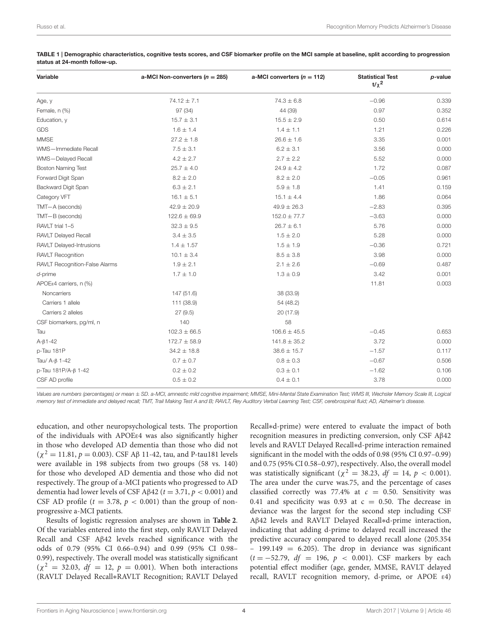| Variable                       | a-MCI Non-converters ( $n = 285$ ) | a-MCI converters $(n = 112)$ | <b>Statistical Test</b><br>$t/\chi^2$ | $p$ -value |
|--------------------------------|------------------------------------|------------------------------|---------------------------------------|------------|
| Age, y                         | $74.12 \pm 7.1$                    | $74.3 \pm 6.8$               | $-0.96$                               | 0.339      |
| Female, n (%)                  | 97 (34)                            | 44 (39)                      | 0.97                                  | 0.352      |
| Education, y                   | $15.7 \pm 3.1$                     | $15.5 \pm 2.9$               | 0.50                                  | 0.614      |
| GDS                            | $1.6 \pm 1.4$                      | $1.4 \pm 1.1$                | 1.21                                  | 0.226      |
| <b>MMSE</b>                    | $27.2 \pm 1.8$                     | $26.6 \pm 1.6$               | 3.35                                  | 0.001      |
| WMS-Immediate Recall           | $7.5 \pm 3.1$                      | $6.2 \pm 3.1$                | 3.56                                  | 0.000      |
| WMS-Delayed Recall             | $4.2 \pm 2.7$                      | $2.7 \pm 2.2$                | 5.52                                  | 0.000      |
| <b>Boston Naming Test</b>      | $25.7 \pm 4.0$                     | $24.9 \pm 4.2$               | 1.72                                  | 0.087      |
| Forward Digit Span             | $8.2 \pm 2.0$                      | $8.2 \pm 2.0$                | $-0.05$                               | 0.961      |
| Backward Digit Span            | $6.3 \pm 2.1$                      | $5.9 \pm 1.8$                | 1.41                                  | 0.159      |
| Category VFT                   | $16.1 \pm 5.1$                     | $15.1 \pm 4.4$               | 1.86                                  | 0.064      |
| TMT-A (seconds)                | $42.9 \pm 20.9$                    | $49.9 \pm 26.3$              | $-2.83$                               | 0.395      |
| TMT-B (seconds)                | $122.6 \pm 69.9$                   | $152.0 \pm 77.7$             | $-3.63$                               | 0.000      |
| RAVLT trial 1-5                | $32.3 \pm 9.5$                     | $26.7 \pm 6.1$               | 5.76                                  | 0.000      |
| <b>RAVLT Delayed Recall</b>    | $3.4 \pm 3.5$                      | $1.5 \pm 2.0$                | 5.28                                  | 0.000      |
| RAVLT Delayed-Intrusions       | $1.4 \pm 1.57$                     | $1.5 \pm 1.9$                | $-0.36$                               | 0.721      |
| RAVLT Recognition              | $10.1 \pm 3.4$                     | $8.5 \pm 3.8$                | 3.98                                  | 0.000      |
| RAVLT Recognition-False Alarms | $1.9 \pm 2.1$                      | $2.1 \pm 2.6$                | $-0.69$                               | 0.487      |
| $d$ -prime                     | $1.7 \pm 1.0$                      | $1.3 \pm 0.9$                | 3.42                                  | 0.001      |
| APOEε4 carriers, $n$ (%)       |                                    |                              | 11.81                                 | 0.003      |
| Noncarriers                    | 147 (51.6)                         | 38 (33.9)                    |                                       |            |
| Carriers 1 allele              | 111 (38.9)                         | 54 (48.2)                    |                                       |            |
| Carriers 2 alleles             | 27(9.5)                            | 20 (17.9)                    |                                       |            |
| CSF biomarkers, pg/ml, n       | 140                                | 58                           |                                       |            |
| Tau                            | $102.3 \pm 66.5$                   | $106.6 \pm 45.5$             | $-0.45$                               | 0.653      |
| $A - \beta 1 - 42$             | $172.7 \pm 58.9$                   | $141.8 \pm 35.2$             | 3.72                                  | 0.000      |
| p-Tau 181P                     | $34.2 \pm 18.8$                    | $38.6 \pm 15.7$              | $-1.57$                               | 0.117      |
| Tau/ $A-\beta$ 1-42            | $0.7 \pm 0.7$                      | $0.8\pm0.3$                  | $-0.67$                               | 0.506      |
| p-Tau 181P/A-β 1-42            | $0.2 \pm 0.2$                      | $0.3 \pm 0.1$                | $-1.62$                               | 0.106      |
| CSF AD profile                 | $0.5 \pm 0.2$                      | $0.4 \pm 0.1$                | 3.78                                  | 0.000      |

<span id="page-3-0"></span>TABLE 1 | Demographic characteristics, cognitive tests scores, and CSF biomarker profile on the MCI sample at baseline, split according to progression status at 24-month follow-up.

Values are numbers (percentages) or mean ± SD. a-MCI, amnestic mild cognitive impairment; MMSE, Mini-Mental State Examination Test; WMS III, Wechsler Memory Scale III, Logical memory test of immediate and delayed recall; TMT, Trail Making Test A and B; RAVLT, Rey Auditory Verbal Learning Test; CSF, cerebrospinal fluid; AD, Alzheimer's disease.

education, and other neuropsychological tests. The proportion of the individuals with APOEε4 was also significantly higher in those who developed AD dementia than those who did not  $(χ<sup>2</sup> = 11.81, p = 0.003)$ . CSF Aβ 11-42, tau, and P-tau181 levels were available in 198 subjects from two groups (58 vs. 140) for those who developed AD dementia and those who did not respectively. The group of a-MCI patients who progressed to AD dementia had lower levels of CSF Aβ42 ( $t = 3.71$ ,  $p < 0.001$ ) and CSF AD profile ( $t = 3.78$ ,  $p < 0.001$ ) than the group of nonprogressive a-MCI patients.

Results of logistic regression analyses are shown in **[Table 2](#page-4-0)**. Of the variables entered into the first step, only RAVLT Delayed Recall and CSF Aβ42 levels reached significance with the odds of 0.79 (95% CI 0.66–0.94) and 0.99 (95% CI 0.98– 0.99), respectively. The overall model was statistically significant  $(\chi^2 = 32.03, df = 12, p = 0.001)$ . When both interactions (RAVLT Delayed Recall∗RAVLT Recognition; RAVLT Delayed Recall∗d-prime) were entered to evaluate the impact of both recognition measures in predicting conversion, only CSF Aβ42 levels and RAVLT Delayed Recall∗d-prime interaction remained significant in the model with the odds of 0.98 (95% CI 0.97–0.99) and 0.75 (95% CI 0.58–0.97), respectively. Also, the overall model was statistically significant ( $\chi^2 = 38.23$ ,  $df = 14$ ,  $p < 0.001$ ). The area under the curve was.75, and the percentage of cases classified correctly was 77.4% at  $c = 0.50$ . Sensitivity was 0.41 and specificity was 0.93 at  $c = 0.50$ . The decrease in deviance was the largest for the second step including CSF Aβ42 levels and RAVLT Delayed Recall∗d-prime interaction, indicating that adding d-prime to delayed recall increased the predictive accuracy compared to delayed recall alone (205.354  $-$  199.149  $=$  6.205). The drop in deviance was significant  $(t = -52.79, df = 196, p < 0.001)$ . CSF markers by each potential effect modifier (age, gender, MMSE, RAVLT delayed recall, RAVLT recognition memory, d-prime, or APOE ε4)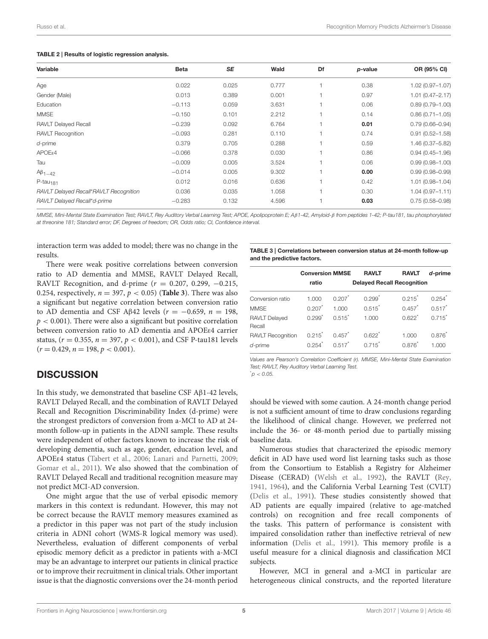#### <span id="page-4-0"></span>TABLE 2 | Results of logistic regression analysis.

| Variable                               | <b>Beta</b> | <b>SE</b> | Wald  | Df | p-value | OR (95% CI)         |
|----------------------------------------|-------------|-----------|-------|----|---------|---------------------|
| Age                                    | 0.022       | 0.025     | 0.777 |    | 0.38    | $1.02(0.97 - 1.07)$ |
| Gender (Male)                          | 0.013       | 0.389     | 0.001 |    | 0.97    | $1.01(0.47 - 2.17)$ |
| Education                              | $-0.113$    | 0.059     | 3.631 |    | 0.06    | $0.89(0.79 - 1.00)$ |
| <b>MMSE</b>                            | $-0.150$    | 0.101     | 2.212 |    | 0.14    | $0.86(0.71 - 1.05)$ |
| <b>RAVLT Delayed Recall</b>            | $-0.239$    | 0.092     | 6.764 |    | 0.01    | $0.79(0.66 - 0.94)$ |
| <b>RAVLT Recognition</b>               | $-0.093$    | 0.281     | 0.110 |    | 0.74    | $0.91(0.52 - 1.58)$ |
| $d$ -prime                             | 0.379       | 0.705     | 0.288 |    | 0.59    | 1.46 (0.37-5.82)    |
| $APOE\varepsilon4$                     | $-0.066$    | 0.378     | 0.030 |    | 0.86    | $0.94(0.45 - 1.96)$ |
| Tau                                    | $-0.009$    | 0.005     | 3.524 |    | 0.06    | $0.99(0.98 - 1.00)$ |
| $A\beta_{1-42}$                        | $-0.014$    | 0.005     | 9.302 |    | 0.00    | $0.99(0.98 - 0.99)$ |
| $P$ -tau <sub>181</sub>                | 0.012       | 0.016     | 0.636 |    | 0.42    | $1.01(0.98 - 1.04)$ |
| RAVLT Delayed Recall*RAVLT Recognition | 0.036       | 0.035     | 1.058 |    | 0.30    | $1.04(0.97 - 1.11)$ |
| RAVLT Delayed Recall*d-prime           | $-0.283$    | 0.132     | 4.596 |    | 0.03    | $0.75(0.58 - 0.98)$ |

MMSE, Mini-Mental State Examination Test; RAVLT, Rey Auditory Verbal Learning Test; APOE, Apolipoprotein E; Aβ1-42, Amyloid-β from peptides 1-42; P-tau181, tau phosphorylated at threonine 181; Standard error; DF, Degrees of freedom; OR, Odds ratio; CI, Confidence interval.

interaction term was added to model; there was no change in the results.

There were weak positive correlations between conversion ratio to AD dementia and MMSE, RAVLT Delayed Recall, RAVLT Recognition, and d-prime ( $r = 0.207, 0.299, -0.215$ , 0.254, respectively,  $n = 397$ ,  $p < 0.05$ ) (**[Table 3](#page-4-1)**). There was also a significant but negative correlation between conversion ratio to AD dementia and CSF Aβ42 levels ( $r = -0.659$ ,  $n = 198$ ,  $p < 0.001$ ). There were also a significant but positive correlation between conversion ratio to AD dementia and APOEε4 carrier status, ( $r = 0.355$ ,  $n = 397$ ,  $p < 0.001$ ), and CSF P-tau181 levels  $(r = 0.429, n = 198, p < 0.001).$ 

## **DISCUSSION**

In this study, we demonstrated that baseline CSF Aβ1-42 levels, RAVLT Delayed Recall, and the combination of RAVLT Delayed Recall and Recognition Discriminability Index (d-prime) were the strongest predictors of conversion from a-MCI to AD at 24 month follow-up in patients in the ADNI sample. These results were independent of other factors known to increase the risk of developing dementia, such as age, gender, education level, and APOEε4 status [\(Tabert et al., 2006;](#page-6-15) [Lanari and Parnetti, 2009;](#page-6-16) [Gomar et al., 2011\)](#page-6-17). We also showed that the combination of RAVLT Delayed Recall and traditional recognition measure may not predict MCI-AD conversion.

One might argue that the use of verbal episodic memory markers in this context is redundant. However, this may not be correct because the RAVLT memory measures examined as a predictor in this paper was not part of the study inclusion criteria in ADNI cohort (WMS-R logical memory was used). Nevertheless, evaluation of different components of verbal episodic memory deficit as a predictor in patients with a-MCI may be an advantage to interpret our patients in clinical practice or to improve their recruitment in clinical trials. Other important issue is that the diagnostic conversions over the 24-month period

<span id="page-4-1"></span>TABLE 3 | Correlations between conversion status at 24-month follow-up and the predictive factors.

|                                     | <b>Conversion MMSE</b>        |                               | <b>RAVLT</b>                      | <b>RAVLT</b>         | d-prime              |
|-------------------------------------|-------------------------------|-------------------------------|-----------------------------------|----------------------|----------------------|
|                                     | ratio                         |                               | <b>Delayed Recall Recognition</b> |                      |                      |
| Conversion ratio                    | 1.000                         | 0.207                         | 0.299                             | $0.215^*$            | 0.254                |
| <b>MMSE</b>                         | 0.207                         | 1.000                         | 0.515                             | 0.457                | $0.517$ <sup>*</sup> |
| <b>RAVLT Delayed</b><br>Recall      | $0.299^{*}$                   | $0.515^*$                     | 1.000                             | $0.622$ <sup>*</sup> | $0.715$ <sup>*</sup> |
| <b>RAVLT Recognition</b><br>d-prime | $0.215$ <sup>*</sup><br>0.254 | 0.457<br>$0.517$ <sup>*</sup> | 0.622<br>$0.715$ <sup>*</sup>     | 1.000<br>0.876       | 0.876<br>1.000       |

Values are Pearson's Correlation Coefficient (r). MMSE, Mini-Mental State Examination Test; RAVLT, Rey Auditory Verbal Learning Test.

 $p < 0.05$ .

should be viewed with some caution. A 24-month change period is not a sufficient amount of time to draw conclusions regarding the likelihood of clinical change. However, we preferred not include the 36- or 48-month period due to partially missing baseline data.

Numerous studies that characterized the episodic memory deficit in AD have used word list learning tasks such as those from the Consortium to Establish a Registry for Alzheimer Disease (CERAD) [\(Welsh et al., 1992\)](#page-6-33), the RAVLT [\(Rey,](#page-6-3) [1941,](#page-6-3) [1964\)](#page-6-4), and the California Verbal Learning Test (CVLT) [\(Delis et al., 1991\)](#page-6-34). These studies consistently showed that AD patients are equally impaired (relative to age-matched controls) on recognition and free recall components of the tasks. This pattern of performance is consistent with impaired consolidation rather than ineffective retrieval of new information [\(Delis et al., 1991\)](#page-6-34). This memory profile is a useful measure for a clinical diagnosis and classification MCI subjects.

However, MCI in general and a-MCI in particular are heterogeneous clinical constructs, and the reported literature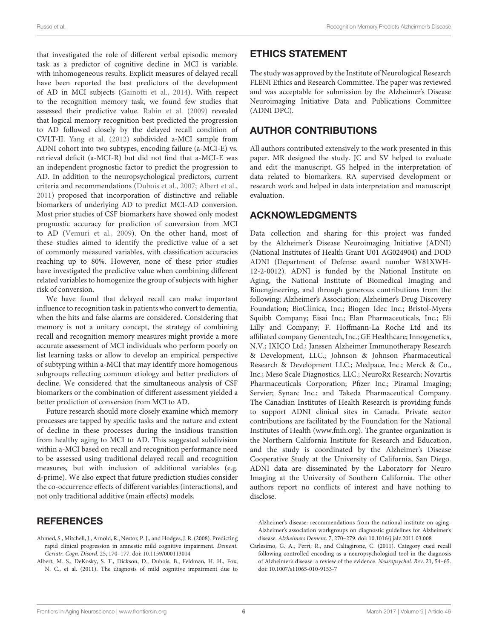that investigated the role of different verbal episodic memory task as a predictor of cognitive decline in MCI is variable, with inhomogeneous results. Explicit measures of delayed recall have been reported the best predictors of the development of AD in MCI subjects [\(Gainotti et al., 2014\)](#page-6-13). With respect to the recognition memory task, we found few studies that assessed their predictive value. [Rabin et al. \(2009\)](#page-6-35) revealed that logical memory recognition best predicted the progression to AD followed closely by the delayed recall condition of CVLT-II. [Yang et al. \(2012\)](#page-6-36) subdivided a-MCI sample from ADNI cohort into two subtypes, encoding failure (a-MCI-E) vs. retrieval deficit (a-MCI-R) but did not find that a-MCI-E was an independent prognostic factor to predict the progression to AD. In addition to the neuropsychological predictors, current criteria and recommendations [\(Dubois et al., 2007;](#page-6-11) [Albert et al.,](#page-5-2) [2011\)](#page-5-2) proposed that incorporation of distinctive and reliable biomarkers of underlying AD to predict MCI-AD conversion. Most prior studies of CSF biomarkers have showed only modest prognostic accuracy for prediction of conversion from MCI to AD [\(Vemuri et al., 2009\)](#page-6-18). On the other hand, most of these studies aimed to identify the predictive value of a set of commonly measured variables, with classification accuracies reaching up to 80%. However, none of these prior studies have investigated the predictive value when combining different related variables to homogenize the group of subjects with higher risk of conversion.

We have found that delayed recall can make important influence to recognition task in patients who convert to dementia, when the hits and false alarms are considered. Considering that memory is not a unitary concept, the strategy of combining recall and recognition memory measures might provide a more accurate assessment of MCI individuals who perform poorly on list learning tasks or allow to develop an empirical perspective of subtyping within a-MCI that may identify more homogenous subgroups reflecting common etiology and better predictors of decline. We considered that the simultaneous analysis of CSF biomarkers or the combination of different assessment yielded a better prediction of conversion from MCI to AD.

Future research should more closely examine which memory processes are tapped by specific tasks and the nature and extent of decline in these processes during the insidious transition from healthy aging to MCI to AD. This suggested subdivision within a-MCI based on recall and recognition performance need to be assessed using traditional delayed recall and recognition measures, but with inclusion of additional variables (e.g. d-prime). We also expect that future prediction studies consider the co-occurrence effects of different variables (interactions), and not only traditional additive (main effects) models.

# **REFERENCES**

- <span id="page-5-0"></span>Ahmed, S., Mitchell, J., Arnold, R., Nestor, P. J., and Hodges, J. R. (2008). Predicting rapid clinical progression in amnestic mild cognitive impairment. Dement. Geriatr. Cogn. Disord. 25, 170–177. doi: [10.1159/000113014](https://doi.org/10.1159/000113014)
- <span id="page-5-2"></span>Albert, M. S., DeKosky, S. T., Dickson, D., Dubois, B., Feldman, H. H., Fox, N. C., et al. (2011). The diagnosis of mild cognitive impairment due to

# ETHICS STATEMENT

The study was approved by the Institute of Neurological Research FLENI Ethics and Research Committee. The paper was reviewed and was acceptable for submission by the Alzheimer's Disease Neuroimaging Initiative Data and Publications Committee (ADNI DPC).

# AUTHOR CONTRIBUTIONS

All authors contributed extensively to the work presented in this paper. MR designed the study. JC and SV helped to evaluate and edit the manuscript. GS helped in the interpretation of data related to biomarkers. RA supervised development or research work and helped in data interpretation and manuscript evaluation.

## ACKNOWLEDGMENTS

Data collection and sharing for this project was funded by the Alzheimer's Disease Neuroimaging Initiative (ADNI) (National Institutes of Health Grant U01 AG024904) and DOD ADNI (Department of Defense award number W81XWH-12-2-0012). ADNI is funded by the National Institute on Aging, the National Institute of Biomedical Imaging and Bioengineering, and through generous contributions from the following: Alzheimer's Association; Alzheimer's Drug Discovery Foundation; BioClinica, Inc.; Biogen Idec Inc.; Bristol-Myers Squibb Company; Eisai Inc.; Elan Pharmaceuticals, Inc.; Eli Lilly and Company; F. Hoffmann-La Roche Ltd and its affiliated company Genentech, Inc.; GE Healthcare; Innogenetics, N.V.; IXICO Ltd.; Janssen Alzheimer Immunotherapy Research & Development, LLC.; Johnson & Johnson Pharmaceutical Research & Development LLC.; Medpace, Inc.; Merck & Co., Inc.; Meso Scale Diagnostics, LLC.; NeuroRx Research; Novartis Pharmaceuticals Corporation; Pfizer Inc.; Piramal Imaging; Servier; Synarc Inc.; and Takeda Pharmaceutical Company. The Canadian Institutes of Health Research is providing funds to support ADNI clinical sites in Canada. Private sector contributions are facilitated by the Foundation for the National Institutes of Health [\(www.fnih.org\)](http://www.fnih.org). The grantee organization is the Northern California Institute for Research and Education, and the study is coordinated by the Alzheimer's Disease Cooperative Study at the University of California, San Diego. ADNI data are disseminated by the Laboratory for Neuro Imaging at the University of Southern California. The other authors report no conflicts of interest and have nothing to disclose.

Alzheimer's disease: recommendations from the national institute on aging-Alzheimer's association workgroups on diagnostic guidelines for Alzheimer's disease. Alzheimers Dement. 7, 270–279. doi: [10.1016/j.jalz.2011.03.008](https://doi.org/10.1016/j.jalz.2011.03.008)

<span id="page-5-1"></span>Carlesimo, G. A., Perri, R., and Caltagirone, C. (2011). Category cued recall following controlled encoding as a neuropsychological tool in the diagnosis of Alzheimer's disease: a review of the evidence. Neuropsychol. Rev. 21, 54–65. doi: [10.1007/s11065-010-9153-7](https://doi.org/10.1007/s11065-010-9153-7)